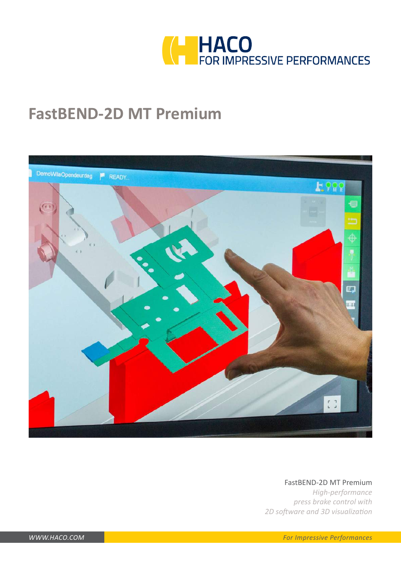

# **FastBEND-2D MT Premium**



### FastBEND-2D MT Premium

*High-performance press brake control with 2D software and 3D visualization*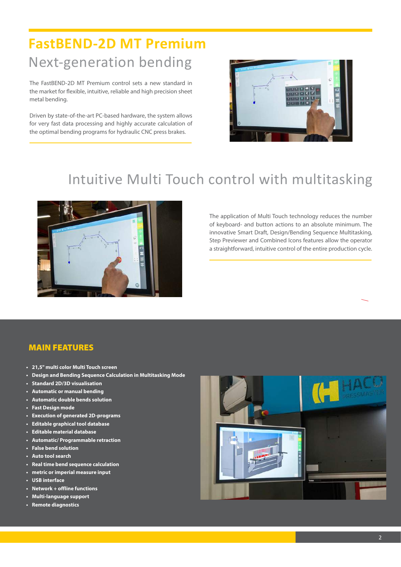# **FastBEND-2D MT Premium** Next-generation bending

The FastBEND-2D MT Premium control sets a new standard in the market for flexible, intuitive, reliable and high precision sheet metal bending.

Driven by state-of-the-art PC-based hardware, the system allows for very fast data processing and highly accurate calculation of the optimal bending programs for hydraulic CNC press brakes.



### Intuitive Multi Touch control with multitasking



The application of Multi Touch technology reduces the number of keyboard- and button actions to an absolute minimum. The innovative Smart Draft, Design/Bending Sequence Multitasking, Step Previewer and Combined Icons features allow the operator a straightforward, intuitive control of the entire production cycle.

### MAIN FEATURES

- **• 21,5" multi color Multi Touch screen**
- **• Design and Bending Sequence Calculation in Multitasking Mode**
- **• Standard 2D/3D visualisation**
- **• Automatic or manual bending**
- **• Automatic double bends solution**
- **• Fast Design mode**
- **• Execution of generated 2D-programs**
- **• Editable graphical tool database**
- **• Editable material database**
- **• Automatic/ Programmable retraction**
- **• False bend solution**
- **• Auto tool search**
- **• Real time bend sequence calculation**
- **• metric or imperial measure input**
- **• USB interface**
- **• Network + offline functions**
- **• Multi-language support**
- **• Remote diagnostics**

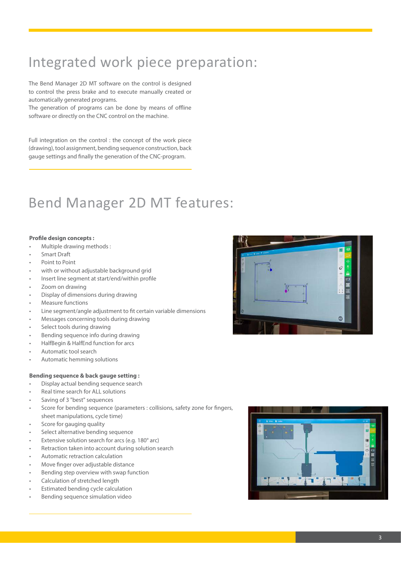# Integrated work piece preparation:

The Bend Manager 2D MT software on the control is designed to control the press brake and to execute manually created or automatically generated programs.

The generation of programs can be done by means of offline software or directly on the CNC control on the machine.

Full integration on the control : the concept of the work piece (drawing), tool assignment, bending sequence construction, back gauge settings and finally the generation of the CNC-program.

### Bend Manager 2D MT features:

#### **Profile design concepts :**

- Multiple drawing methods :
- Smart Draft
- Point to Point
- with or without adjustable background grid
- Insert line segment at start/end/within profile
- Zoom on drawing
- Display of dimensions during drawing
- Measure functions
- Line segment/angle adjustment to fit certain variable dimensions
- Messages concerning tools during drawing
- Select tools during drawing
- Bending sequence info during drawing
- HalfBegin & HalfEnd function for arcs
- Automatic tool search
- Automatic hemming solutions

#### **Bending sequence & back gauge setting :**

- Display actual bending sequence search
- Real time search for ALL solutions
- Saving of 3 "best" sequences
- Score for bending sequence (parameters : collisions, safety zone for fingers, sheet manipulations, cycle time)
- Score for gauging quality
- Select alternative bending sequence
- Extensive solution search for arcs (e.g. 180° arc)
- Retraction taken into account during solution search
- Automatic retraction calculation
- Move finger over adjustable distance
- Bending step overview with swap function
- Calculation of stretched length
- Estimated bending cycle calculation
- Bending sequence simulation video



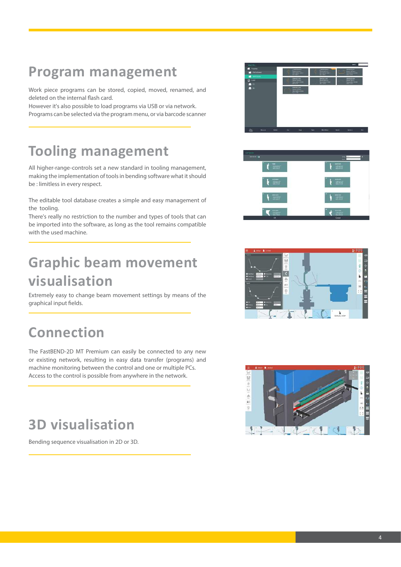### **Program management**

Work piece programs can be stored, copied, moved, renamed, and deleted on the internal flash card.

However it's also possible to load programs via USB or via network. Programs can be selected via the program menu, or via barcode scanner

### **Tooling management**

All higher-range-controls set a new standard in tooling management, making the implementation of tools in bending software what it should be : limitless in every respect.

The editable tool database creates a simple and easy management of the tooling.

There's really no restriction to the number and types of tools that can be imported into the software, as long as the tool remains compatible with the used machine.

# **Graphic beam movement visualisation**

Extremely easy to change beam movement settings by means of the graphical input fields.

# **Connection**

The FastBEND-2D MT Premium can easily be connected to any new or existing network, resulting in easy data transfer (programs) and machine monitoring between the control and one or multiple PCs. Access to the control is possible from anywhere in the network.

# **3D visualisation**

Bending sequence visualisation in 2D or 3D.







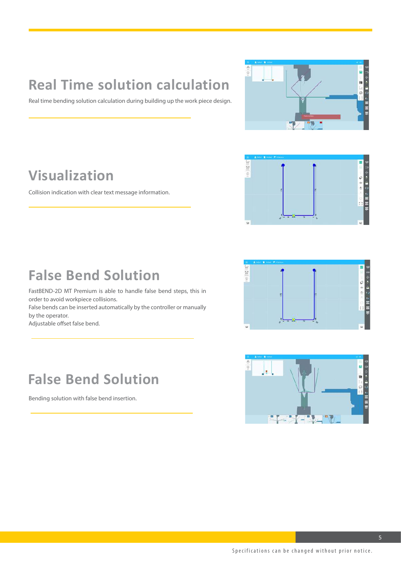# **Real Time solution calculation**

Real time bending solution calculation during building up the work piece design.



### **Visualization**

Collision indication with clear text message information.



### **False Bend Solution**

FastBEND-2D MT Premium is able to handle false bend steps, this in order to avoid workpiece collisions.

False bends can be inserted automatically by the controller or manually by the operator.

Adjustable offset false bend.

### **False Bend Solution**

Bending solution with false bend insertion.



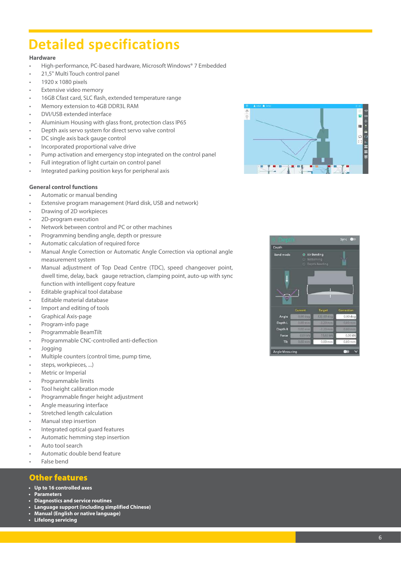## **Detailed specifications**

### **Hardware**

- High-performance, PC-based hardware, Microsoft Windows® 7 Embedded
- 21,5" Multi Touch control panel 1920 x 1080 pixels
- 
- **Extensive video memory**
- 16GB Cfast card, SLC flash, extended temperature range
- Memory extension to 4GB DDR3L RAM
- DVI/USB extended interface
- Aluminium Housing with glass front, protection class IP65<br>Depth axis servo system for direct servo valve control
- 
- DC single axis back gauge control
- Incorporated proportional valve drive
- Pump activation and emergency stop integrated on the control panel
- Full integration of light curtain on control panel
- Integrated parking position keys for peripheral axis

#### **General control functions**

- Automatic or manual bending
- Extensive program management (Hard disk, USB and network)
- Drawing of 2D workpieces
- 2D-program execution
- Network between control and PC or other machines
- 
- 
- Programming bending angle, depth or pressure<br>
Automatic calculation of required force<br>
Manual Angle Correction or Automatic Angle Correction via optional angle measurement system
- Manual adjustment of Top Dead Centre (TDC), speed changeover point, dwell time, delay, back gauge retraction, clamping point, auto-up with sync function with intelligent copy feature
- Editable graphical tool database
- Editable material database
- Import and editing of tools
- Graphical Axis-page
- Program-info page
- 
- Programmable BeamTilt Programmable CNC-controlled anti-deflection
- Jogging
- Multiple counters (control time, pump time,
- steps, workpieces, ...) Metric or Imperial
- 
- Programmable limits
- Tool height calibration mode
- Programmable finger height adjustment
- Angle measuring interface
- Stretched length calculation
- 
- Manual step insertion Integrated optical guard features Automatic hemming step insertion Auto tool search Automatic double bend feature False bend
- 
- 
- 
- 

### Other features

- **• Up to 16 controlled axes**
- **• Parameters**
- **• Diagnostics and service routines**
- **• Language support (including simplified Chinese)**
- **• Manual (English or native language)**
- **• Lifelong servicing**



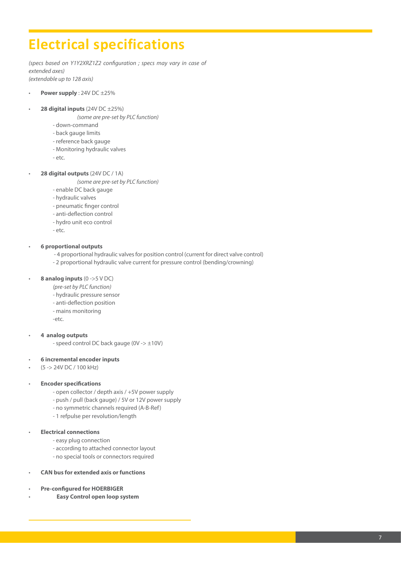### **Electrical specifications**

*(specs based on Y1Y2XRZ1Z2 configuration ; specs may vary in case of extended axes) (extendable up to 128 axis)*

- **Power supply** : 24V DC ±25%
- **28 digital inputs** (24V DC ±25%)
	- *(some are pre-set by PLC function)*
	- down-command
	- back gauge limits
	- reference back gauge
	- Monitoring hydraulic valves
	- etc.
- **28 digital outputs** (24V DC / 1A)
	- *(some are pre-set by PLC function)*
	- enable DC back gauge
	- hydraulic valves
	- pneumatic finger control
	- anti-deflection control
	- hydro unit eco control
	- etc.

#### • **6 proportional outputs**

- 4 proportional hydraulic valves for position control (current for direct valve control)
- 2 proportional hydraulic valve current for pressure control (bending/crowning)

#### • **8 analog inputs** (0 ->5 V DC)

- *(pre-set by PLC function)*
- hydraulic pressure sensor
- anti-deflection position
- mains monitoring
- -etc.

### • **4 analog outputs**

- speed control DC back gauge (0V -> ±10V)
- **6 incremental encoder inputs**
- (5 -> 24V DC / 100 kHz)

#### • **Encoder specifications**

- open collector / depth axis / +5V power supply
- push / pull (back gauge) / 5V or 12V power supply
- no symmetric channels required (A-B-Ref)
- 1 refpulse per revolution/length

#### • **Electrical connections**

- easy plug connection
- according to attached connector layout
- no special tools or connectors required
- **CAN bus for extended axis or functions**
- **Pre-configured for HOERBIGER**
- • **Easy Control open loop system**